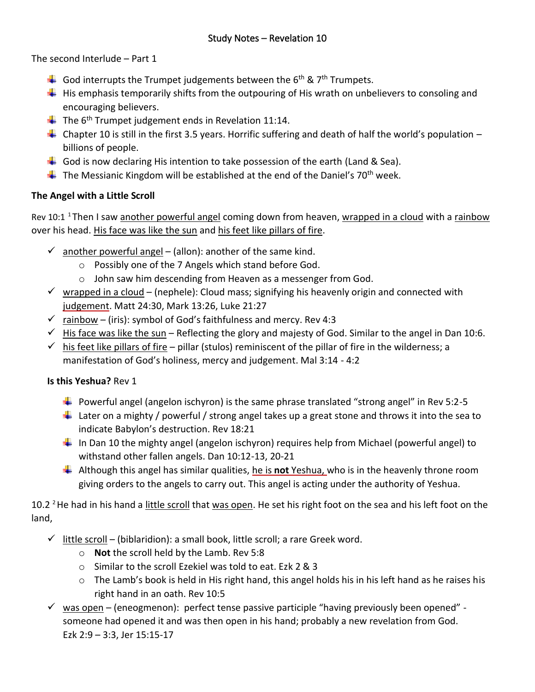The second Interlude – Part 1

- God interrupts the Trumpet judgements between the  $6<sup>th</sup>$  & 7<sup>th</sup> Trumpets.
- $\ddot{\phantom{1}}$  His emphasis temporarily shifts from the outpouring of His wrath on unbelievers to consoling and encouraging believers.
- $\downarrow$  The 6<sup>th</sup> Trumpet judgement ends in Revelation 11:14.
- Chapter 10 is still in the first 3.5 years. Horrific suffering and death of half the world's population  $$ billions of people.
- God is now declaring His intention to take possession of the earth (Land & Sea).
- $\ddot{+}$  The Messianic Kingdom will be established at the end of the Daniel's 70<sup>th</sup> week.

## **The Angel with a Little Scroll**

Rev 10:1<sup>1</sup>Then I saw another powerful angel coming down from heaven, wrapped in a cloud with a rainbow over his head. His face was like the sun and his feet like pillars of fire.

- $\checkmark$  another powerful angel (allon): another of the same kind.
	- o Possibly one of the 7 Angels which stand before God.
	- o John saw him descending from Heaven as a messenger from God.
- $\checkmark$  wrapped in a cloud (nephele): Cloud mass; signifying his heavenly origin and connected with judgement. Matt 24:30, Mark 13:26, Luke 21:27
- $\checkmark$  rainbow (iris): symbol of God's faithfulness and mercy. Rev 4:3
- $\checkmark$  His face was like the sun Reflecting the glory and majesty of God. Similar to the angel in Dan 10:6.
- $\checkmark$  his feet like pillars of fire pillar (stulos) reminiscent of the pillar of fire in the wilderness; a manifestation of God's holiness, mercy and judgement. Mal 3:14 - 4:2

## **Is this Yeshua?** Rev 1

- $\ddot{+}$  Powerful angel (angelon ischyron) is the same phrase translated "strong angel" in Rev 5:2-5
- Later on a mighty / powerful / strong angel takes up a great stone and throws it into the sea to indicate Babylon's destruction. Rev 18:21
- $\ddot{+}$  In Dan 10 the mighty angel (angelon ischyron) requires help from Michael (powerful angel) to withstand other fallen angels. Dan 10:12-13, 20-21
- Although this angel has similar qualities, he is **not** Yeshua, who is in the heavenly throne room giving orders to the angels to carry out. This angel is acting under the authority of Yeshua.

10.2 <sup>2</sup> He had in his hand a little scroll that was open. He set his right foot on the sea and his left foot on the land,

- $\checkmark$  little scroll (biblaridion): a small book, little scroll; a rare Greek word.
	- o **Not** the scroll held by the Lamb. Rev 5:8
	- o Similar to the scroll Ezekiel was told to eat. Ezk 2 & 3
	- $\circ$  The Lamb's book is held in His right hand, this angel holds his in his left hand as he raises his right hand in an oath. Rev 10:5
- $\checkmark$  was open (eneogmenon): perfect tense passive participle "having previously been opened" someone had opened it and was then open in his hand; probably a new revelation from God. Ezk 2:9 – 3:3, Jer 15:15-17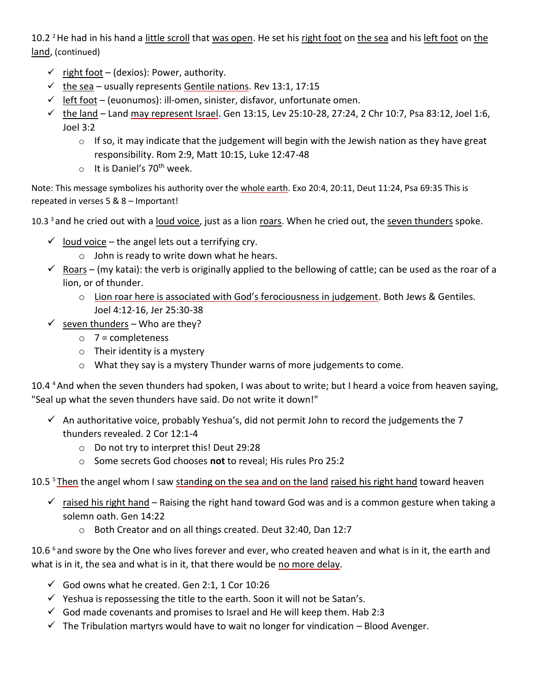10.2  $2$  He had in his hand a little scroll that was open. He set his right foot on the sea and his left foot on the land, (continued)

- $\checkmark$  right foot (dexios): Power, authority.
- $\checkmark$  the sea usually represents Gentile nations. Rev 13:1, 17:15
- $\checkmark$  left foot (euonumos): ill-omen, sinister, disfavor, unfortunate omen.
- $√$  the land Land may represent Israel. Gen 13:15, Lev 25:10-28, 27:24, 2 Chr 10:7, Psa 83:12, Joel 1:6, Joel 3:2
	- $\circ$  If so, it may indicate that the judgement will begin with the Jewish nation as they have great responsibility. Rom 2:9, Matt 10:15, Luke 12:47-48
	- $\circ$  It is Daniel's 70<sup>th</sup> week.

Note: This message symbolizes his authority over the whole earth. Exo 20:4, 20:11, Deut 11:24, Psa 69:35 This is repeated in verses 5 & 8 – Important!

10.3  $3$  and he cried out with a loud voice, just as a lion roars. When he cried out, the seven thunders spoke.

- $\checkmark$  loud voice the angel lets out a terrifying cry.
	- $\circ$  John is ready to write down what he hears.
- $\checkmark$  Roars (my katai): the verb is originally applied to the bellowing of cattle; can be used as the roar of a lion, or of thunder.
	- $\circ$  Lion roar here is associated with God's ferociousness in judgement. Both Jews & Gentiles. Joel 4:12-16, Jer 25:30-38
- $\checkmark$  seven thunders Who are they?
	- $\circ$  7 = completeness
	- $\circ$  Their identity is a mystery
	- o What they say is a mystery Thunder warns of more judgements to come.

10.4 <sup>4</sup> And when the seven thunders had spoken, I was about to write; but I heard a voice from heaven saying, "Seal up what the seven thunders have said. Do not write it down!"

- $\checkmark$  An authoritative voice, probably Yeshua's, did not permit John to record the judgements the 7 thunders revealed. 2 Cor 12:1-4
	- o Do not try to interpret this! Deut 29:28
	- o Some secrets God chooses **not** to reveal; His rules Pro 25:2

10.5<sup>5</sup> Then the angel whom I saw standing on the sea and on the land raised his right hand toward heaven

- $\checkmark$  raised his right hand Raising the right hand toward God was and is a common gesture when taking a solemn oath. Gen 14:22
	- o Both Creator and on all things created. Deut 32:40, Dan 12:7

10.6<sup>6</sup> and swore by the One who lives forever and ever, who created heaven and what is in it, the earth and what is in it, the sea and what is in it, that there would be no more delay.

- $\checkmark$  God owns what he created. Gen 2:1, 1 Cor 10:26
- $\checkmark$  Yeshua is repossessing the title to the earth. Soon it will not be Satan's.
- $\checkmark$  God made covenants and promises to Israel and He will keep them. Hab 2:3
- $\checkmark$  The Tribulation martyrs would have to wait no longer for vindication Blood Avenger.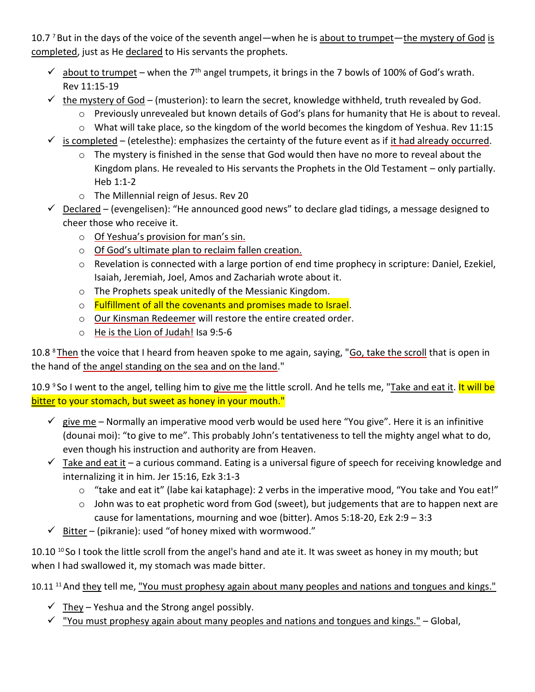10.7  $\frac{7}{10}$  But in the days of the voice of the seventh angel—when he is about to trumpet—the mystery of God is completed, just as He declared to His servants the prophets.

- $\checkmark$  about to trumpet when the 7<sup>th</sup> angel trumpets, it brings in the 7 bowls of 100% of God's wrath. Rev 11:15-19
- $\checkmark$  the mystery of God (musterion): to learn the secret, knowledge withheld, truth revealed by God.
	- $\circ$  Previously unrevealed but known details of God's plans for humanity that He is about to reveal.
	- o What will take place, so the kingdom of the world becomes the kingdom of Yeshua. Rev 11:15
- $\checkmark$  is completed (etelesthe): emphasizes the certainty of the future event as if it had already occurred.
	- $\circ$  The mystery is finished in the sense that God would then have no more to reveal about the Kingdom plans. He revealed to His servants the Prophets in the Old Testament – only partially. Heb 1:1-2
	- o The Millennial reign of Jesus. Rev 20
- $\checkmark$  Declared (evengelisen): "He announced good news" to declare glad tidings, a message designed to cheer those who receive it.
	- o Of Yeshua's provision for man's sin.
	- o Of God's ultimate plan to reclaim fallen creation.
	- o Revelation is connected with a large portion of end time prophecy in scripture: Daniel, Ezekiel, Isaiah, Jeremiah, Joel, Amos and Zachariah wrote about it.
	- o The Prophets speak unitedly of the Messianic Kingdom.
	- o Fulfillment of all the covenants and promises made to Israel.
	- o Our Kinsman Redeemer will restore the entire created order.
	- o He is the Lion of Judah! Isa 9:5-6

10.8 <sup>8</sup>Then the voice that I heard from heaven spoke to me again, saying, "Go, take the scroll that is open in the hand of the angel standing on the sea and on the land."

10.9 <sup>9</sup> So I went to the angel, telling him to give me the little scroll. And he tells me, "Take and eat it. <mark>It will be</mark> bitter to your stomach, but sweet as honey in your mouth."

- $\checkmark$  give me Normally an imperative mood verb would be used here "You give". Here it is an infinitive (dounai moi): "to give to me". This probably John's tentativeness to tell the mighty angel what to do, even though his instruction and authority are from Heaven.
- $\checkmark$  Take and eat it a curious command. Eating is a universal figure of speech for receiving knowledge and internalizing it in him. Jer 15:16, Ezk 3:1-3
	- o "take and eat it" (labe kai kataphage): 2 verbs in the imperative mood, "You take and You eat!"
	- o John was to eat prophetic word from God (sweet), but judgements that are to happen next are cause for lamentations, mourning and woe (bitter). Amos 5:18-20, Ezk 2:9 – 3:3
- $\checkmark$  Bitter (pikranie): used "of honey mixed with wormwood."

10.10  $^{10}$  So I took the little scroll from the angel's hand and ate it. It was sweet as honey in my mouth; but when I had swallowed it, my stomach was made bitter.

10.11<sup>11</sup> And they tell me, "You must prophesy again about many peoples and nations and tongues and kings."

- $\checkmark$  They Yeshua and the Strong angel possibly.
- $\checkmark$  "You must prophesy again about many peoples and nations and tongues and kings." Global,